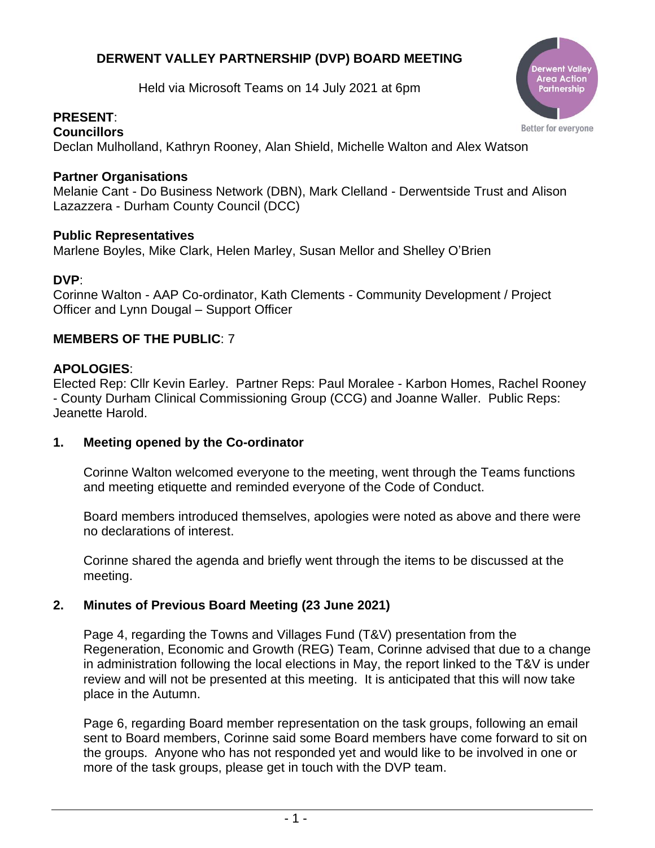# **DERWENT VALLEY PARTNERSHIP (DVP) BOARD MEETING**

Held via Microsoft Teams on 14 July 2021 at 6pm

#### **PRESENT**: **Councillors**

Area Actior Partnership

Better for everyone

Declan Mulholland, Kathryn Rooney, Alan Shield, Michelle Walton and Alex Watson

# **Partner Organisations**

Melanie Cant - Do Business Network (DBN), Mark Clelland - Derwentside Trust and Alison Lazazzera - Durham County Council (DCC)

# **Public Representatives**

Marlene Boyles, Mike Clark, Helen Marley, Susan Mellor and Shelley O'Brien

#### **DVP**:

Corinne Walton - AAP Co-ordinator, Kath Clements - Community Development / Project Officer and Lynn Dougal – Support Officer

# **MEMBERS OF THE PUBLIC**: 7

#### **APOLOGIES**:

Elected Rep: Cllr Kevin Earley. Partner Reps: Paul Moralee - Karbon Homes, Rachel Rooney - County Durham Clinical Commissioning Group (CCG) and Joanne Waller. Public Reps: Jeanette Harold.

#### **1. Meeting opened by the Co-ordinator**

Corinne Walton welcomed everyone to the meeting, went through the Teams functions and meeting etiquette and reminded everyone of the Code of Conduct.

Board members introduced themselves, apologies were noted as above and there were no declarations of interest.

Corinne shared the agenda and briefly went through the items to be discussed at the meeting.

# **2. Minutes of Previous Board Meeting (23 June 2021)**

Page 4, regarding the Towns and Villages Fund (T&V) presentation from the Regeneration, Economic and Growth (REG) Team, Corinne advised that due to a change in administration following the local elections in May, the report linked to the T&V is under review and will not be presented at this meeting. It is anticipated that this will now take place in the Autumn.

Page 6, regarding Board member representation on the task groups, following an email sent to Board members, Corinne said some Board members have come forward to sit on the groups. Anyone who has not responded yet and would like to be involved in one or more of the task groups, please get in touch with the DVP team.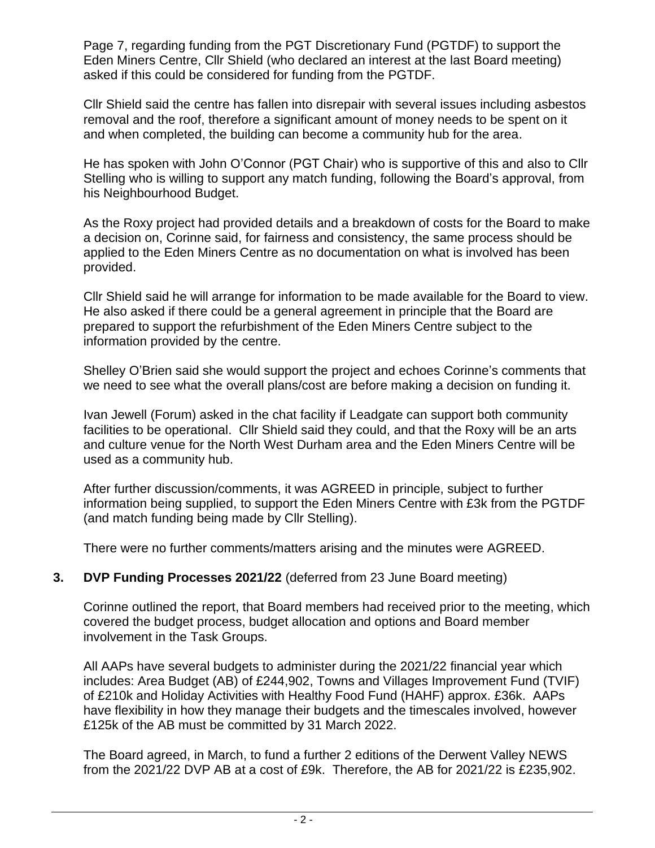Page 7, regarding funding from the PGT Discretionary Fund (PGTDF) to support the Eden Miners Centre, Cllr Shield (who declared an interest at the last Board meeting) asked if this could be considered for funding from the PGTDF.

Cllr Shield said the centre has fallen into disrepair with several issues including asbestos removal and the roof, therefore a significant amount of money needs to be spent on it and when completed, the building can become a community hub for the area.

He has spoken with John O'Connor (PGT Chair) who is supportive of this and also to Cllr Stelling who is willing to support any match funding, following the Board's approval, from his Neighbourhood Budget.

As the Roxy project had provided details and a breakdown of costs for the Board to make a decision on, Corinne said, for fairness and consistency, the same process should be applied to the Eden Miners Centre as no documentation on what is involved has been provided.

Cllr Shield said he will arrange for information to be made available for the Board to view. He also asked if there could be a general agreement in principle that the Board are prepared to support the refurbishment of the Eden Miners Centre subject to the information provided by the centre.

Shelley O'Brien said she would support the project and echoes Corinne's comments that we need to see what the overall plans/cost are before making a decision on funding it.

Ivan Jewell (Forum) asked in the chat facility if Leadgate can support both community facilities to be operational. Cllr Shield said they could, and that the Roxy will be an arts and culture venue for the North West Durham area and the Eden Miners Centre will be used as a community hub.

After further discussion/comments, it was AGREED in principle, subject to further information being supplied, to support the Eden Miners Centre with £3k from the PGTDF (and match funding being made by Cllr Stelling).

There were no further comments/matters arising and the minutes were AGREED.

# **3. DVP Funding Processes 2021/22** (deferred from 23 June Board meeting)

Corinne outlined the report, that Board members had received prior to the meeting, which covered the budget process, budget allocation and options and Board member involvement in the Task Groups.

All AAPs have several budgets to administer during the 2021/22 financial year which includes: Area Budget (AB) of £244,902, Towns and Villages Improvement Fund (TVIF) of £210k and Holiday Activities with Healthy Food Fund (HAHF) approx. £36k. AAPs have flexibility in how they manage their budgets and the timescales involved, however £125k of the AB must be committed by 31 March 2022.

The Board agreed, in March, to fund a further 2 editions of the Derwent Valley NEWS from the 2021/22 DVP AB at a cost of £9k. Therefore, the AB for 2021/22 is £235,902.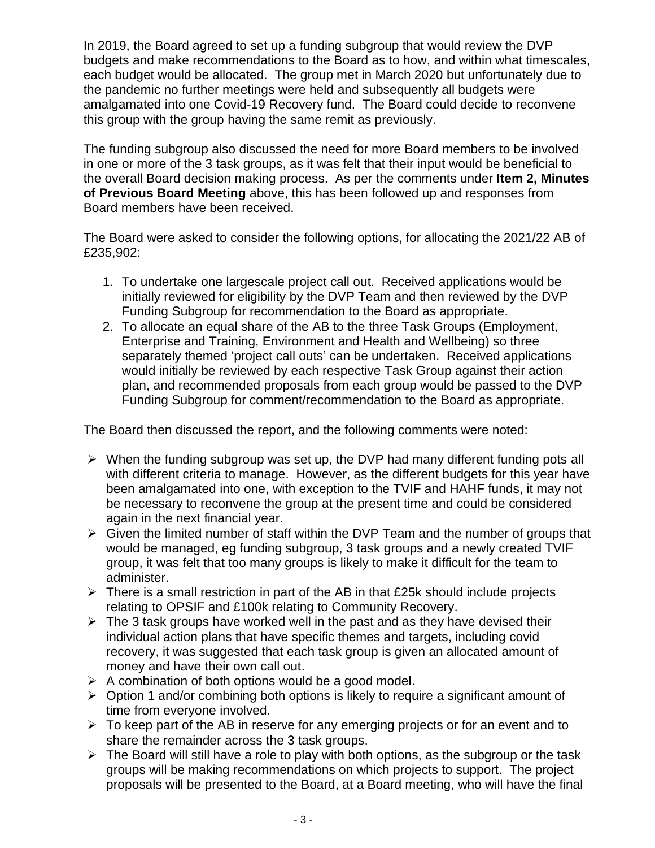In 2019, the Board agreed to set up a funding subgroup that would review the DVP budgets and make recommendations to the Board as to how, and within what timescales, each budget would be allocated. The group met in March 2020 but unfortunately due to the pandemic no further meetings were held and subsequently all budgets were amalgamated into one Covid-19 Recovery fund. The Board could decide to reconvene this group with the group having the same remit as previously.

The funding subgroup also discussed the need for more Board members to be involved in one or more of the 3 task groups, as it was felt that their input would be beneficial to the overall Board decision making process. As per the comments under **Item 2, Minutes of Previous Board Meeting** above, this has been followed up and responses from Board members have been received.

The Board were asked to consider the following options, for allocating the 2021/22 AB of £235,902:

- 1. To undertake one largescale project call out. Received applications would be initially reviewed for eligibility by the DVP Team and then reviewed by the DVP Funding Subgroup for recommendation to the Board as appropriate.
- 2. To allocate an equal share of the AB to the three Task Groups (Employment, Enterprise and Training, Environment and Health and Wellbeing) so three separately themed 'project call outs' can be undertaken. Received applications would initially be reviewed by each respective Task Group against their action plan, and recommended proposals from each group would be passed to the DVP Funding Subgroup for comment/recommendation to the Board as appropriate.

The Board then discussed the report, and the following comments were noted:

- ➢ When the funding subgroup was set up, the DVP had many different funding pots all with different criteria to manage. However, as the different budgets for this year have been amalgamated into one, with exception to the TVIF and HAHF funds, it may not be necessary to reconvene the group at the present time and could be considered again in the next financial year.
- $\triangleright$  Given the limited number of staff within the DVP Team and the number of groups that would be managed, eg funding subgroup, 3 task groups and a newly created TVIF group, it was felt that too many groups is likely to make it difficult for the team to administer.
- $\triangleright$  There is a small restriction in part of the AB in that £25k should include projects relating to OPSIF and £100k relating to Community Recovery.
- $\triangleright$  The 3 task groups have worked well in the past and as they have devised their individual action plans that have specific themes and targets, including covid recovery, it was suggested that each task group is given an allocated amount of money and have their own call out.
- $\triangleright$  A combination of both options would be a good model.
- ➢ Option 1 and/or combining both options is likely to require a significant amount of time from everyone involved.
- $\triangleright$  To keep part of the AB in reserve for any emerging projects or for an event and to share the remainder across the 3 task groups.
- $\triangleright$  The Board will still have a role to play with both options, as the subgroup or the task groups will be making recommendations on which projects to support. The project proposals will be presented to the Board, at a Board meeting, who will have the final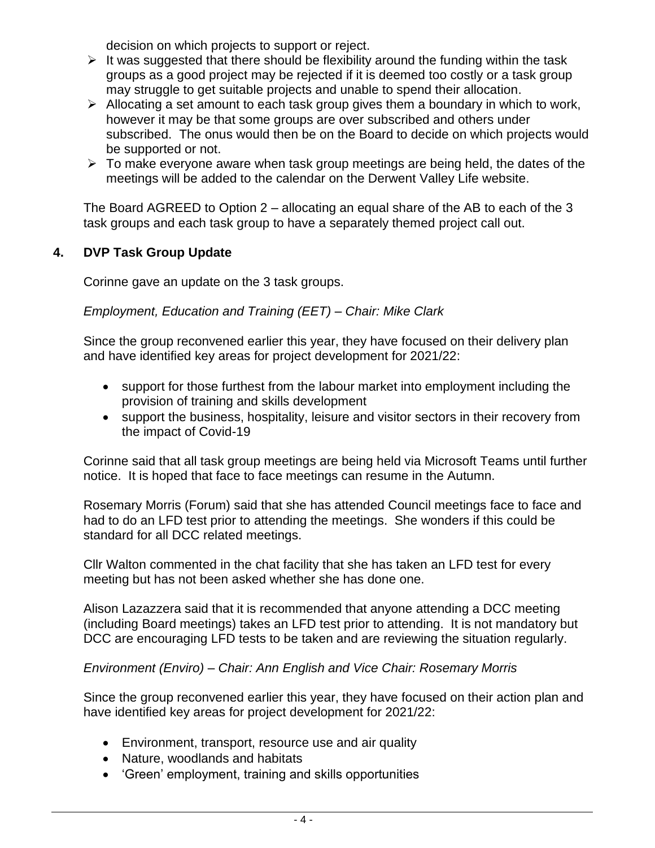decision on which projects to support or reject.

- $\triangleright$  It was suggested that there should be flexibility around the funding within the task groups as a good project may be rejected if it is deemed too costly or a task group may struggle to get suitable projects and unable to spend their allocation.
- $\triangleright$  Allocating a set amount to each task group gives them a boundary in which to work, however it may be that some groups are over subscribed and others under subscribed. The onus would then be on the Board to decide on which projects would be supported or not.
- $\triangleright$  To make everyone aware when task group meetings are being held, the dates of the meetings will be added to the calendar on the Derwent Valley Life website.

The Board AGREED to Option 2 – allocating an equal share of the AB to each of the 3 task groups and each task group to have a separately themed project call out.

# **4. DVP Task Group Update**

Corinne gave an update on the 3 task groups.

# *Employment, Education and Training (EET) – Chair: Mike Clark*

Since the group reconvened earlier this year, they have focused on their delivery plan and have identified key areas for project development for 2021/22:

- support for those furthest from the labour market into employment including the provision of training and skills development
- support the business, hospitality, leisure and visitor sectors in their recovery from the impact of Covid-19

Corinne said that all task group meetings are being held via Microsoft Teams until further notice. It is hoped that face to face meetings can resume in the Autumn.

Rosemary Morris (Forum) said that she has attended Council meetings face to face and had to do an LFD test prior to attending the meetings. She wonders if this could be standard for all DCC related meetings.

Cllr Walton commented in the chat facility that she has taken an LFD test for every meeting but has not been asked whether she has done one.

Alison Lazazzera said that it is recommended that anyone attending a DCC meeting (including Board meetings) takes an LFD test prior to attending. It is not mandatory but DCC are encouraging LFD tests to be taken and are reviewing the situation regularly.

# *Environment (Enviro) – Chair: Ann English and Vice Chair: Rosemary Morris*

Since the group reconvened earlier this year, they have focused on their action plan and have identified key areas for project development for 2021/22:

- Environment, transport, resource use and air quality
- Nature, woodlands and habitats
- 'Green' employment, training and skills opportunities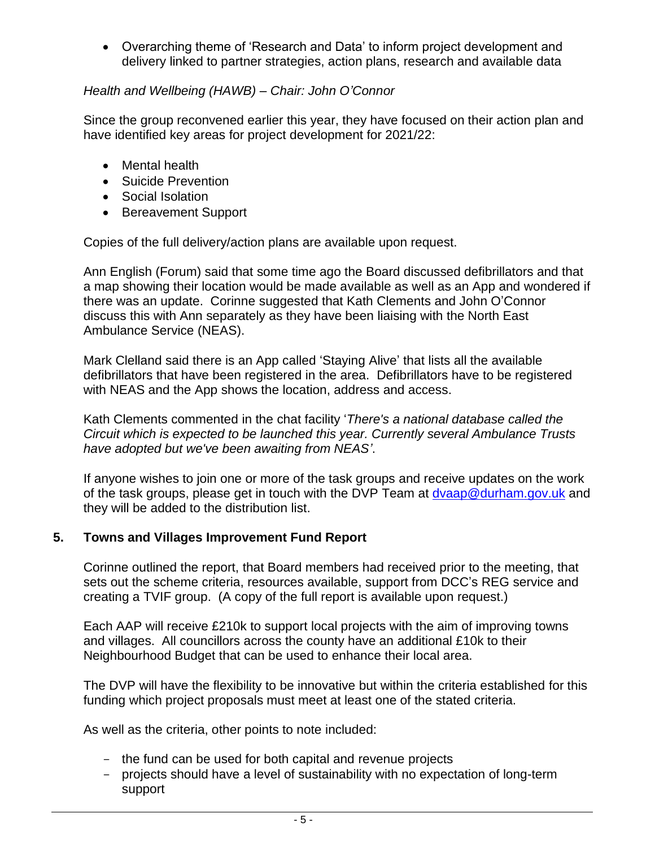• Overarching theme of 'Research and Data' to inform project development and delivery linked to partner strategies, action plans, research and available data

# *Health and Wellbeing (HAWB) – Chair: John O'Connor*

Since the group reconvened earlier this year, they have focused on their action plan and have identified key areas for project development for 2021/22:

- Mental health
- Suicide Prevention
- Social Isolation
- Bereavement Support

Copies of the full delivery/action plans are available upon request.

Ann English (Forum) said that some time ago the Board discussed defibrillators and that a map showing their location would be made available as well as an App and wondered if there was an update. Corinne suggested that Kath Clements and John O'Connor discuss this with Ann separately as they have been liaising with the North East Ambulance Service (NEAS).

Mark Clelland said there is an App called 'Staying Alive' that lists all the available defibrillators that have been registered in the area. Defibrillators have to be registered with NEAS and the App shows the location, address and access.

Kath Clements commented in the chat facility '*There's a national database called the Circuit which is expected to be launched this year. Currently several Ambulance Trusts have adopted but we've been awaiting from NEAS'*.

If anyone wishes to join one or more of the task groups and receive updates on the work of the task groups, please get in touch with the DVP Team at [dvaap@durham.gov.uk](mailto:dvaap@durham.gov.uk) and they will be added to the distribution list.

# **5. Towns and Villages Improvement Fund Report**

Corinne outlined the report, that Board members had received prior to the meeting, that sets out the scheme criteria, resources available, support from DCC's REG service and creating a TVIF group. (A copy of the full report is available upon request.)

Each AAP will receive £210k to support local projects with the aim of improving towns and villages. All councillors across the county have an additional £10k to their Neighbourhood Budget that can be used to enhance their local area.

The DVP will have the flexibility to be innovative but within the criteria established for this funding which project proposals must meet at least one of the stated criteria.

As well as the criteria, other points to note included:

- the fund can be used for both capital and revenue projects
- projects should have a level of sustainability with no expectation of long-term support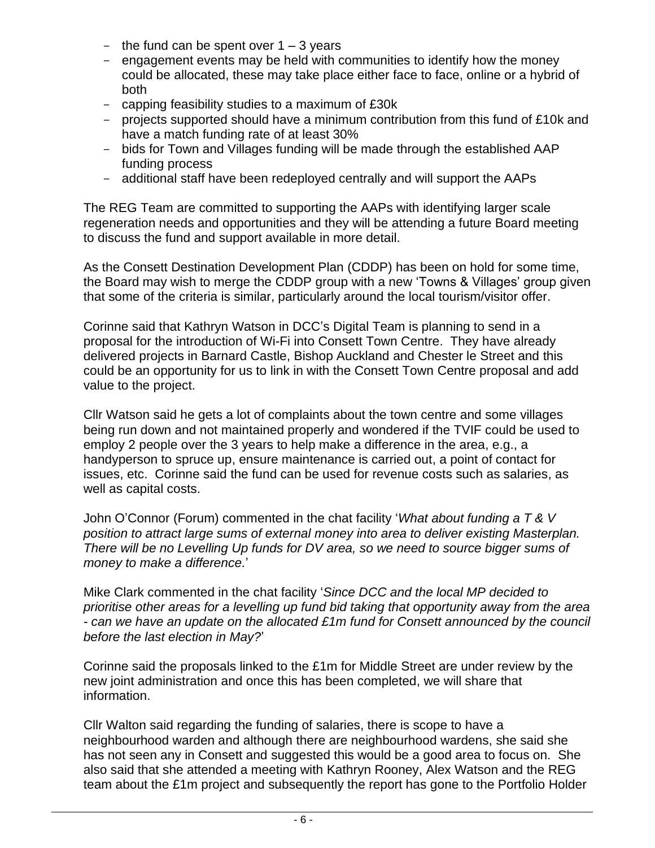- the fund can be spent over  $1 3$  years
- engagement events may be held with communities to identify how the money could be allocated, these may take place either face to face, online or a hybrid of both
- capping feasibility studies to a maximum of £30k
- projects supported should have a minimum contribution from this fund of £10k and have a match funding rate of at least 30%
- bids for Town and Villages funding will be made through the established AAP funding process
- additional staff have been redeployed centrally and will support the AAPs

The REG Team are committed to supporting the AAPs with identifying larger scale regeneration needs and opportunities and they will be attending a future Board meeting to discuss the fund and support available in more detail.

As the Consett Destination Development Plan (CDDP) has been on hold for some time, the Board may wish to merge the CDDP group with a new 'Towns & Villages' group given that some of the criteria is similar, particularly around the local tourism/visitor offer.

Corinne said that Kathryn Watson in DCC's Digital Team is planning to send in a proposal for the introduction of Wi-Fi into Consett Town Centre. They have already delivered projects in Barnard Castle, Bishop Auckland and Chester le Street and this could be an opportunity for us to link in with the Consett Town Centre proposal and add value to the project.

Cllr Watson said he gets a lot of complaints about the town centre and some villages being run down and not maintained properly and wondered if the TVIF could be used to employ 2 people over the 3 years to help make a difference in the area, e.g., a handyperson to spruce up, ensure maintenance is carried out, a point of contact for issues, etc. Corinne said the fund can be used for revenue costs such as salaries, as well as capital costs.

John O'Connor (Forum) commented in the chat facility '*What about funding a T & V position to attract large sums of external money into area to deliver existing Masterplan. There will be no Levelling Up funds for DV area, so we need to source bigger sums of money to make a difference.*'

Mike Clark commented in the chat facility '*Since DCC and the local MP decided to prioritise other areas for a levelling up fund bid taking that opportunity away from the area - can we have an update on the allocated £1m fund for Consett announced by the council before the last election in May?*'

Corinne said the proposals linked to the £1m for Middle Street are under review by the new joint administration and once this has been completed, we will share that information.

Cllr Walton said regarding the funding of salaries, there is scope to have a neighbourhood warden and although there are neighbourhood wardens, she said she has not seen any in Consett and suggested this would be a good area to focus on. She also said that she attended a meeting with Kathryn Rooney, Alex Watson and the REG team about the £1m project and subsequently the report has gone to the Portfolio Holder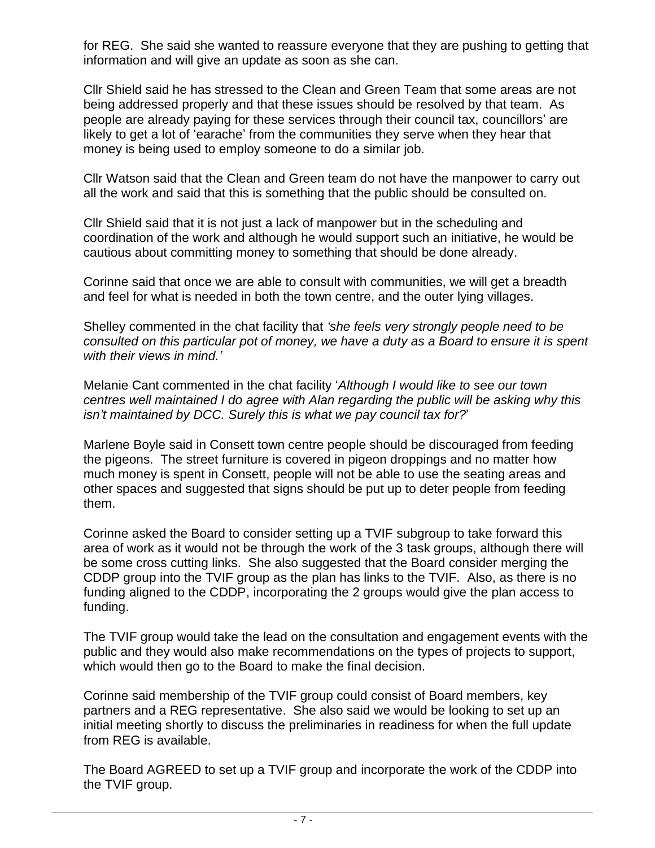for REG. She said she wanted to reassure everyone that they are pushing to getting that information and will give an update as soon as she can.

Cllr Shield said he has stressed to the Clean and Green Team that some areas are not being addressed properly and that these issues should be resolved by that team. As people are already paying for these services through their council tax, councillors' are likely to get a lot of 'earache' from the communities they serve when they hear that money is being used to employ someone to do a similar job.

Cllr Watson said that the Clean and Green team do not have the manpower to carry out all the work and said that this is something that the public should be consulted on.

Cllr Shield said that it is not just a lack of manpower but in the scheduling and coordination of the work and although he would support such an initiative, he would be cautious about committing money to something that should be done already.

Corinne said that once we are able to consult with communities, we will get a breadth and feel for what is needed in both the town centre, and the outer lying villages.

Shelley commented in the chat facility that *'she feels very strongly people need to be consulted on this particular pot of money, we have a duty as a Board to ensure it is spent with their views in mind.'*

Melanie Cant commented in the chat facility '*Although I would like to see our town centres well maintained I do agree with Alan regarding the public will be asking why this isn't maintained by DCC. Surely this is what we pay council tax for?*'

Marlene Boyle said in Consett town centre people should be discouraged from feeding the pigeons. The street furniture is covered in pigeon droppings and no matter how much money is spent in Consett, people will not be able to use the seating areas and other spaces and suggested that signs should be put up to deter people from feeding them.

Corinne asked the Board to consider setting up a TVIF subgroup to take forward this area of work as it would not be through the work of the 3 task groups, although there will be some cross cutting links. She also suggested that the Board consider merging the CDDP group into the TVIF group as the plan has links to the TVIF. Also, as there is no funding aligned to the CDDP, incorporating the 2 groups would give the plan access to funding.

The TVIF group would take the lead on the consultation and engagement events with the public and they would also make recommendations on the types of projects to support, which would then go to the Board to make the final decision.

Corinne said membership of the TVIF group could consist of Board members, key partners and a REG representative. She also said we would be looking to set up an initial meeting shortly to discuss the preliminaries in readiness for when the full update from REG is available.

The Board AGREED to set up a TVIF group and incorporate the work of the CDDP into the TVIF group.